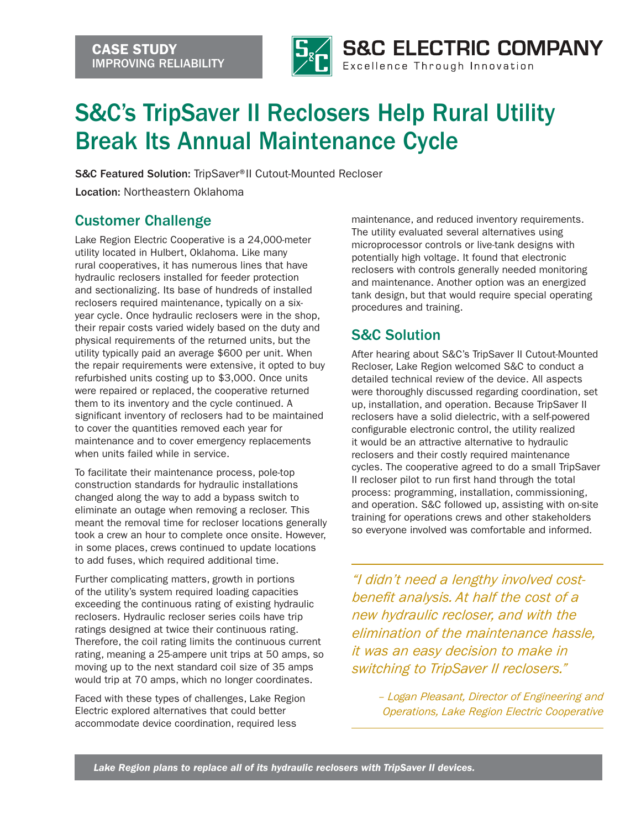

## S&C's TripSaver II Reclosers Help Rural Utility Break Its Annual Maintenance Cycle

S&C Featured Solution: TripSaver® II Cutout-Mounted Recloser

Location: Northeastern Oklahoma

## Customer Challenge

Lake Region Electric Cooperative is a 24,000-meter utility located in Hulbert, Oklahoma. Like many rural cooperatives, it has numerous lines that have hydraulic reclosers installed for feeder protection and sectionalizing. Its base of hundreds of installed reclosers required maintenance, typically on a sixyear cycle. Once hydraulic reclosers were in the shop, their repair costs varied widely based on the duty and physical requirements of the returned units, but the utility typically paid an average \$600 per unit. When the repair requirements were extensive, it opted to buy refurbished units costing up to \$3,000. Once units were repaired or replaced, the cooperative returned them to its inventory and the cycle continued. A significant inventory of reclosers had to be maintained to cover the quantities removed each year for maintenance and to cover emergency replacements when units failed while in service.

To facilitate their maintenance process, pole-top construction standards for hydraulic installations changed along the way to add a bypass switch to eliminate an outage when removing a recloser. This meant the removal time for recloser locations generally took a crew an hour to complete once onsite. However, in some places, crews continued to update locations to add fuses, which required additional time.

Further complicating matters, growth in portions of the utility's system required loading capacities exceeding the continuous rating of existing hydraulic reclosers. Hydraulic recloser series coils have trip ratings designed at twice their continuous rating. Therefore, the coil rating limits the continuous current rating, meaning a 25-ampere unit trips at 50 amps, so moving up to the next standard coil size of 35 amps would trip at 70 amps, which no longer coordinates.

Faced with these types of challenges, Lake Region Electric explored alternatives that could better accommodate device coordination, required less

maintenance, and reduced inventory requirements. The utility evaluated several alternatives using microprocessor controls or live-tank designs with potentially high voltage. It found that electronic reclosers with controls generally needed monitoring and maintenance. Another option was an energized tank design, but that would require special operating procedures and training.

## S&C Solution

After hearing about S&C's TripSaver II Cutout-Mounted Recloser, Lake Region welcomed S&C to conduct a detailed technical review of the device. All aspects were thoroughly discussed regarding coordination, set up, installation, and operation. Because TripSaver II reclosers have a solid dielectric, with a self-powered configurable electronic control, the utility realized it would be an attractive alternative to hydraulic reclosers and their costly required maintenance cycles. The cooperative agreed to do a small TripSaver II recloser pilot to run first hand through the total process: programming, installation, commissioning, and operation. S&C followed up, assisting with on-site training for operations crews and other stakeholders so everyone involved was comfortable and informed.

*"I didn't need a lengthy involved costbenefit analysis. At half the cost of a new hydraulic recloser, and with the elimination of the maintenance hassle, it was an easy decision to make in switching to TripSaver II reclosers."*

> *– Logan Pleasant, Director of Engineering and Operations, Lake Region Electric Cooperative*

*Lake Region plans to replace all of its hydraulic reclosers with TripSaver II devices.*